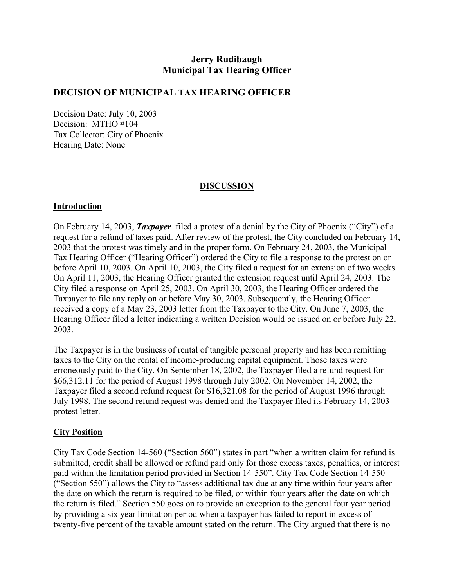# **Jerry Rudibaugh Municipal Tax Hearing Officer**

#### **DECISION OF MUNICIPAL TAX HEARING OFFICER**

Decision Date: July 10, 2003 Decision: MTHO #104 Tax Collector: City of Phoenix Hearing Date: None

#### **DISCUSSION**

#### **Introduction**

On February 14, 2003, *Taxpayer* filed a protest of a denial by the City of Phoenix ("City") of a request for a refund of taxes paid. After review of the protest, the City concluded on February 14, 2003 that the protest was timely and in the proper form. On February 24, 2003, the Municipal Tax Hearing Officer ("Hearing Officer") ordered the City to file a response to the protest on or before April 10, 2003. On April 10, 2003, the City filed a request for an extension of two weeks. On April 11, 2003, the Hearing Officer granted the extension request until April 24, 2003. The City filed a response on April 25, 2003. On April 30, 2003, the Hearing Officer ordered the Taxpayer to file any reply on or before May 30, 2003. Subsequently, the Hearing Officer received a copy of a May 23, 2003 letter from the Taxpayer to the City. On June 7, 2003, the Hearing Officer filed a letter indicating a written Decision would be issued on or before July 22, 2003.

The Taxpayer is in the business of rental of tangible personal property and has been remitting taxes to the City on the rental of income-producing capital equipment. Those taxes were erroneously paid to the City. On September 18, 2002, the Taxpayer filed a refund request for \$66,312.11 for the period of August 1998 through July 2002. On November 14, 2002, the Taxpayer filed a second refund request for \$16,321.08 for the period of August 1996 through July 1998. The second refund request was denied and the Taxpayer filed its February 14, 2003 protest letter.

#### **City Position**

City Tax Code Section 14-560 ("Section 560") states in part "when a written claim for refund is submitted, credit shall be allowed or refund paid only for those excess taxes, penalties, or interest paid within the limitation period provided in Section 14-550". City Tax Code Section 14-550 ("Section 550") allows the City to "assess additional tax due at any time within four years after the date on which the return is required to be filed, or within four years after the date on which the return is filed." Section 550 goes on to provide an exception to the general four year period by providing a six year limitation period when a taxpayer has failed to report in excess of twenty-five percent of the taxable amount stated on the return. The City argued that there is no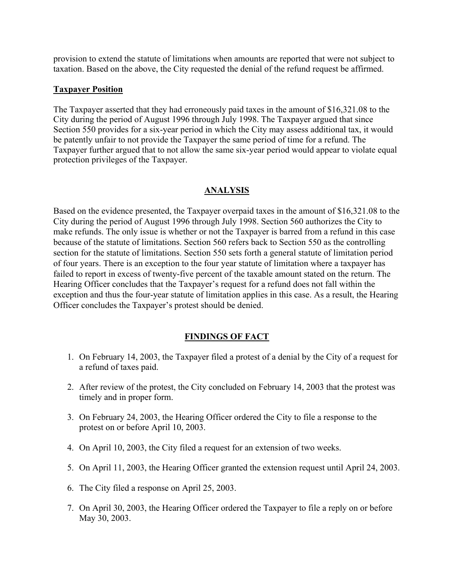provision to extend the statute of limitations when amounts are reported that were not subject to taxation. Based on the above, the City requested the denial of the refund request be affirmed.

#### **Taxpayer Position**

The Taxpayer asserted that they had erroneously paid taxes in the amount of \$16,321.08 to the City during the period of August 1996 through July 1998. The Taxpayer argued that since Section 550 provides for a six-year period in which the City may assess additional tax, it would be patently unfair to not provide the Taxpayer the same period of time for a refund. The Taxpayer further argued that to not allow the same six-year period would appear to violate equal protection privileges of the Taxpayer.

#### **ANALYSIS**

Based on the evidence presented, the Taxpayer overpaid taxes in the amount of \$16,321.08 to the City during the period of August 1996 through July 1998. Section 560 authorizes the City to make refunds. The only issue is whether or not the Taxpayer is barred from a refund in this case because of the statute of limitations. Section 560 refers back to Section 550 as the controlling section for the statute of limitations. Section 550 sets forth a general statute of limitation period of four years. There is an exception to the four year statute of limitation where a taxpayer has failed to report in excess of twenty-five percent of the taxable amount stated on the return. The Hearing Officer concludes that the Taxpayer's request for a refund does not fall within the exception and thus the four-year statute of limitation applies in this case. As a result, the Hearing Officer concludes the Taxpayer's protest should be denied.

### **FINDINGS OF FACT**

- 1. On February 14, 2003, the Taxpayer filed a protest of a denial by the City of a request for a refund of taxes paid.
- 2. After review of the protest, the City concluded on February 14, 2003 that the protest was timely and in proper form.
- 3. On February 24, 2003, the Hearing Officer ordered the City to file a response to the protest on or before April 10, 2003.
- 4. On April 10, 2003, the City filed a request for an extension of two weeks.
- 5. On April 11, 2003, the Hearing Officer granted the extension request until April 24, 2003.
- 6. The City filed a response on April 25, 2003.
- 7. On April 30, 2003, the Hearing Officer ordered the Taxpayer to file a reply on or before May 30, 2003.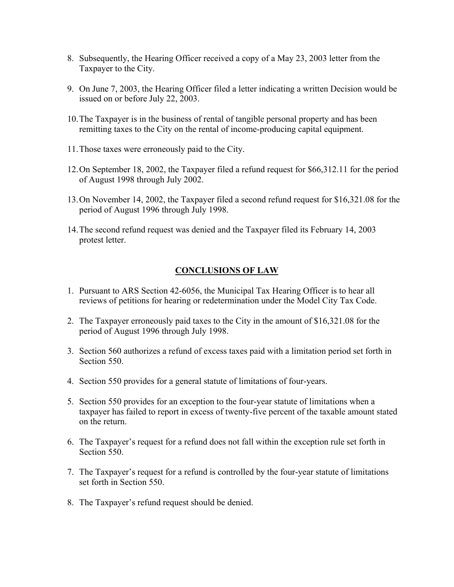- 8. Subsequently, the Hearing Officer received a copy of a May 23, 2003 letter from the Taxpayer to the City.
- 9. On June 7, 2003, the Hearing Officer filed a letter indicating a written Decision would be issued on or before July 22, 2003.
- 10. The Taxpayer is in the business of rental of tangible personal property and has been remitting taxes to the City on the rental of income-producing capital equipment.
- 11. Those taxes were erroneously paid to the City.
- 12. On September 18, 2002, the Taxpayer filed a refund request for \$66,312.11 for the period of August 1998 through July 2002.
- 13. On November 14, 2002, the Taxpayer filed a second refund request for \$16,321.08 for the period of August 1996 through July 1998.
- 14. The second refund request was denied and the Taxpayer filed its February 14, 2003 protest letter.

## **CONCLUSIONS OF LAW**

- 1. Pursuant to ARS Section 42-6056, the Municipal Tax Hearing Officer is to hear all reviews of petitions for hearing or redetermination under the Model City Tax Code.
- 2. The Taxpayer erroneously paid taxes to the City in the amount of \$16,321.08 for the period of August 1996 through July 1998.
- 3. Section 560 authorizes a refund of excess taxes paid with a limitation period set forth in Section 550.
- 4. Section 550 provides for a general statute of limitations of four-years.
- 5. Section 550 provides for an exception to the four-year statute of limitations when a taxpayer has failed to report in excess of twenty-five percent of the taxable amount stated on the return.
- 6. The Taxpayer's request for a refund does not fall within the exception rule set forth in Section 550.
- 7. The Taxpayer's request for a refund is controlled by the four-year statute of limitations set forth in Section 550.
- 8. The Taxpayer's refund request should be denied.